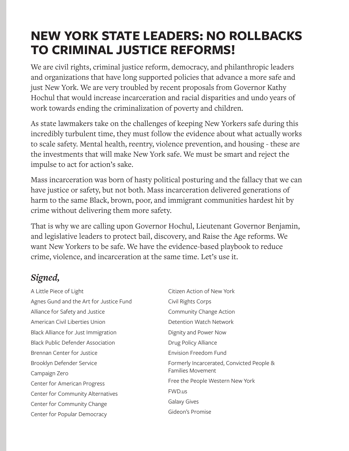## **NEW YORK STATE LEADERS: NO ROLLBACKS TO CRIMINAL JUSTICE REFORMS!**

We are civil rights, criminal justice reform, democracy, and philanthropic leaders and organizations that have long supported policies that advance a more safe and just New York. We are very troubled by recent proposals from Governor Kathy Hochul that would increase incarceration and racial disparities and undo years of work towards ending the criminalization of poverty and children.

As state lawmakers take on the challenges of keeping New Yorkers safe during this incredibly turbulent time, they must follow the evidence about what actually works to scale safety. Mental health, reentry, violence prevention, and housing - these are the investments that will make New York safe. We must be smart and reject the impulse to act for action's sake.

Mass incarceration was born of hasty political posturing and the fallacy that we can have justice or safety, but not both. Mass incarceration delivered generations of harm to the same Black, brown, poor, and immigrant communities hardest hit by crime without delivering them more safety.

That is why we are calling upon Governor Hochul, Lieutenant Governor Benjamin, and legislative leaders to protect bail, discovery, and Raise the Age reforms. We want New Yorkers to be safe. We have the evidence-based playbook to reduce crime, violence, and incarceration at the same time. Let's use it.

## *Signed,*

A Little Piece of Light Agnes Gund and the Art for Justice Fund Alliance for Safety and Justice American Civil Liberties Union Black Alliance for Just Immigration Black Public Defender Association Brennan Center for Justice Brooklyn Defender Service Campaign Zero Center for American Progress Center for Community Alternatives Center for Community Change Center for Popular Democracy

| Citizen Action of New York                                            |  |
|-----------------------------------------------------------------------|--|
| Civil Rights Corps                                                    |  |
| Community Change Action                                               |  |
| Detention Watch Network                                               |  |
| Dignity and Power Now                                                 |  |
| Drug Policy Alliance                                                  |  |
| <b>Fnvision Freedom Fund</b>                                          |  |
| Formerly Incarcerated, Convicted People &<br><b>Families Movement</b> |  |
| Free the People Western New York                                      |  |
| <b>FWD.us</b>                                                         |  |
| Galaxy Gives                                                          |  |
| Gideon's Promise                                                      |  |